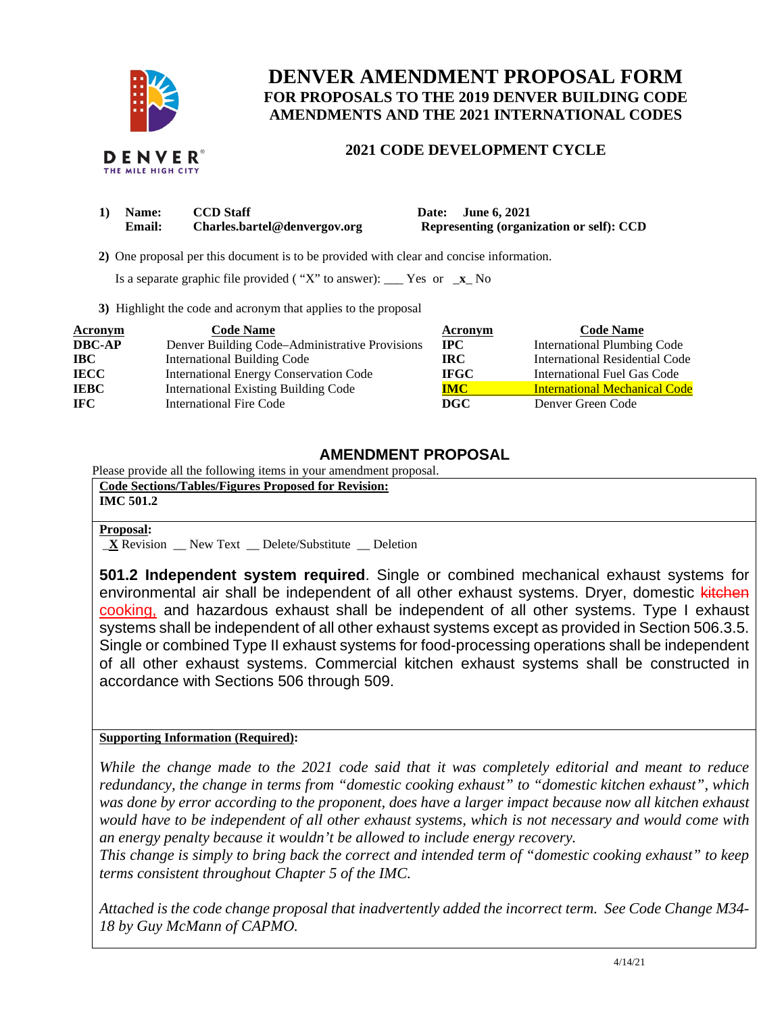

## **DENVER AMENDMENT PROPOSAL FORM FOR PROPOSALS TO THE 2019 DENVER BUILDING CODE AMENDMENTS AND THE 2021 INTERNATIONAL CODES**

## **2021 CODE DEVELOPMENT CYCLE**

| 1) Name:      | <b>CCD</b> Staff             | Date: June 6, 2021                       |
|---------------|------------------------------|------------------------------------------|
| <b>Email:</b> | Charles.bartel@denvergov.org | Representing (organization or self): CCD |

 **2)** One proposal per this document is to be provided with clear and concise information.

Is a separate graphic file provided ( "X" to answer): \_\_\_ Yes or \_**x**\_ No

**3)** Highlight the code and acronym that applies to the proposal

| <b>Acronym</b> | <b>Code Name</b>                               | Acronym     | <b>Code Name</b>                      |
|----------------|------------------------------------------------|-------------|---------------------------------------|
| <b>DBC-AP</b>  | Denver Building Code–Administrative Provisions | $\bf{IPC}$  | <b>International Plumbing Code</b>    |
| <b>IBC</b>     | <b>International Building Code</b>             | IRC-        | <b>International Residential Code</b> |
| <b>IECC</b>    | <b>International Energy Conservation Code</b>  | <b>IFGC</b> | International Fuel Gas Code           |
| <b>IEBC</b>    | <b>International Existing Building Code</b>    | <b>IMC</b>  | <b>International Mechanical Code</b>  |
| IFC.           | <b>International Fire Code</b>                 | DGC         | Denver Green Code                     |

## **AMENDMENT PROPOSAL**

Please provide all the following items in your amendment proposal.

| Code Sections/Tables/Figures Proposed for Revision:<br><b>IMC 501.2</b>   |  |
|---------------------------------------------------------------------------|--|
| <b>Proposal:</b><br><b>X</b> Revision New Text Delete/Substitute Deletion |  |

**501.2 Independent system required**. Single or combined mechanical exhaust systems for environmental air shall be independent of all other exhaust systems. Dryer, domestic kitchen cooking, and hazardous exhaust shall be independent of all other systems. Type I exhaust systems shall be independent of all other exhaust systems except as provided in Section 506.3.5. Single or combined Type II exhaust systems for food-processing operations shall be independent of all other exhaust systems. Commercial kitchen exhaust systems shall be constructed in accordance with Sections 506 through 509.

## **Supporting Information (Required):**

*While the change made to the 2021 code said that it was completely editorial and meant to reduce redundancy, the change in terms from "domestic cooking exhaust" to "domestic kitchen exhaust", which was done by error according to the proponent, does have a larger impact because now all kitchen exhaust would have to be independent of all other exhaust systems, which is not necessary and would come with an energy penalty because it wouldn't be allowed to include energy recovery.* 

*This change is simply to bring back the correct and intended term of "domestic cooking exhaust" to keep terms consistent throughout Chapter 5 of the IMC.* 

*Attached is the code change proposal that inadvertently added the incorrect term. See Code Change M34- 18 by Guy McMann of CAPMO.*